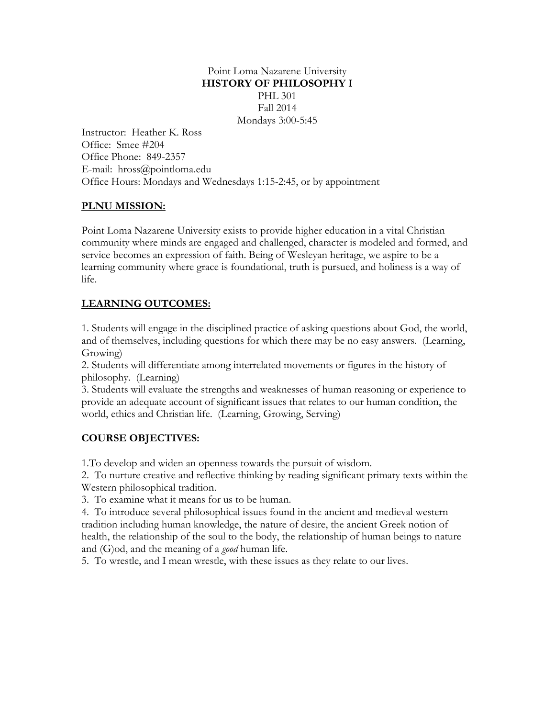## Point Loma Nazarene University **HISTORY OF PHILOSOPHY I** PHL 301 Fall 2014 Mondays 3:00-5:45

Instructor: Heather K. Ross Office: Smee #204 Office Phone: 849-2357 E-mail: hross@pointloma.edu Office Hours: Mondays and Wednesdays 1:15-2:45, or by appointment

# **PLNU MISSION:**

Point Loma Nazarene University exists to provide higher education in a vital Christian community where minds are engaged and challenged, character is modeled and formed, and service becomes an expression of faith. Being of Wesleyan heritage, we aspire to be a learning community where grace is foundational, truth is pursued, and holiness is a way of life.

# **LEARNING OUTCOMES:**

1. Students will engage in the disciplined practice of asking questions about God, the world, and of themselves, including questions for which there may be no easy answers. (Learning, Growing)

2. Students will differentiate among interrelated movements or figures in the history of philosophy. (Learning)

3. Students will evaluate the strengths and weaknesses of human reasoning or experience to provide an adequate account of significant issues that relates to our human condition, the world, ethics and Christian life. (Learning, Growing, Serving)

# **COURSE OBJECTIVES:**

1.To develop and widen an openness towards the pursuit of wisdom.

2. To nurture creative and reflective thinking by reading significant primary texts within the Western philosophical tradition.

3. To examine what it means for us to be human.

4. To introduce several philosophical issues found in the ancient and medieval western tradition including human knowledge, the nature of desire, the ancient Greek notion of health, the relationship of the soul to the body, the relationship of human beings to nature and (G)od, and the meaning of a *good* human life.

5. To wrestle, and I mean wrestle, with these issues as they relate to our lives.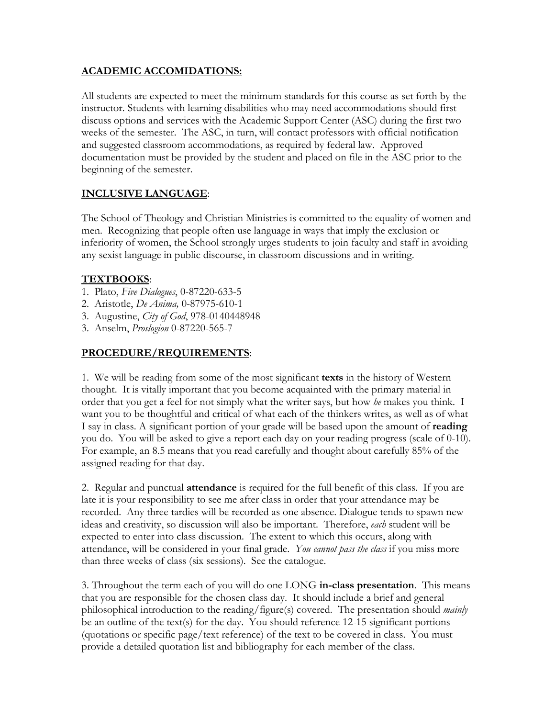## **ACADEMIC ACCOMIDATIONS:**

All students are expected to meet the minimum standards for this course as set forth by the instructor. Students with learning disabilities who may need accommodations should first discuss options and services with the Academic Support Center (ASC) during the first two weeks of the semester. The ASC, in turn, will contact professors with official notification and suggested classroom accommodations, as required by federal law. Approved documentation must be provided by the student and placed on file in the ASC prior to the beginning of the semester.

# **INCLUSIVE LANGUAGE**:

The School of Theology and Christian Ministries is committed to the equality of women and men. Recognizing that people often use language in ways that imply the exclusion or inferiority of women, the School strongly urges students to join faculty and staff in avoiding any sexist language in public discourse, in classroom discussions and in writing.

#### **TEXTBOOKS**:

- 1. Plato, *Five Dialogues*, 0-87220-633-5
- 2. Aristotle, *De Anima,* 0-87975-610-1
- 3. Augustine, *City of God*, 978-0140448948
- 3. Anselm, *Proslogion* 0-87220-565-7

## **PROCEDURE/REQUIREMENTS**:

1. We will be reading from some of the most significant **texts** in the history of Western thought. It is vitally important that you become acquainted with the primary material in order that you get a feel for not simply what the writer says, but how *he* makes you think. I want you to be thoughtful and critical of what each of the thinkers writes, as well as of what I say in class. A significant portion of your grade will be based upon the amount of **reading**  you do. You will be asked to give a report each day on your reading progress (scale of 0-10). For example, an 8.5 means that you read carefully and thought about carefully 85% of the assigned reading for that day.

2. Regular and punctual **attendance** is required for the full benefit of this class. If you are late it is your responsibility to see me after class in order that your attendance may be recorded. Any three tardies will be recorded as one absence. Dialogue tends to spawn new ideas and creativity, so discussion will also be important. Therefore, *each* student will be expected to enter into class discussion. The extent to which this occurs, along with attendance, will be considered in your final grade. *You cannot pass the class* if you miss more than three weeks of class (six sessions). See the catalogue.

3. Throughout the term each of you will do one LONG **in-class presentation**. This means that you are responsible for the chosen class day. It should include a brief and general philosophical introduction to the reading/figure(s) covered. The presentation should *mainly*  be an outline of the text(s) for the day. You should reference 12-15 significant portions (quotations or specific page/text reference) of the text to be covered in class. You must provide a detailed quotation list and bibliography for each member of the class.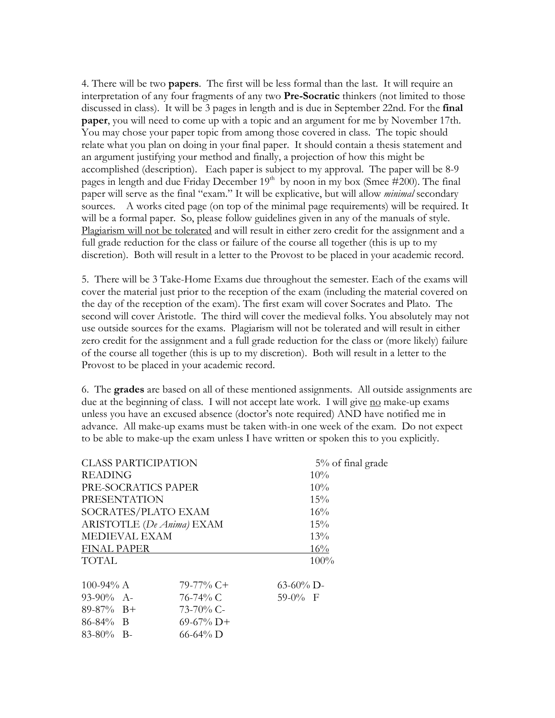4. There will be two **papers**. The first will be less formal than the last. It will require an interpretation of any four fragments of any two **Pre-Socratic** thinkers (not limited to those discussed in class). It will be 3 pages in length and is due in September 22nd. For the **final paper**, you will need to come up with a topic and an argument for me by November 17th. You may chose your paper topic from among those covered in class. The topic should relate what you plan on doing in your final paper. It should contain a thesis statement and an argument justifying your method and finally, a projection of how this might be accomplished (description). Each paper is subject to my approval. The paper will be 8-9 pages in length and due Friday December  $19<sup>th</sup>$  by noon in my box (Smee #200). The final paper will serve as the final "exam." It will be explicative, but will allow *minimal* secondary sources. A works cited page (on top of the minimal page requirements) will be required. It will be a formal paper. So, please follow guidelines given in any of the manuals of style. Plagiarism will not be tolerated and will result in either zero credit for the assignment and a full grade reduction for the class or failure of the course all together (this is up to my discretion). Both will result in a letter to the Provost to be placed in your academic record.

5. There will be 3 Take-Home Exams due throughout the semester. Each of the exams will cover the material just prior to the reception of the exam (including the material covered on the day of the reception of the exam). The first exam will cover Socrates and Plato. The second will cover Aristotle. The third will cover the medieval folks. You absolutely may not use outside sources for the exams. Plagiarism will not be tolerated and will result in either zero credit for the assignment and a full grade reduction for the class or (more likely) failure of the course all together (this is up to my discretion). Both will result in a letter to the Provost to be placed in your academic record.

6. The **grades** are based on all of these mentioned assignments. All outside assignments are due at the beginning of class. I will not accept late work. I will give no make-up exams unless you have an excused absence (doctor's note required) AND have notified me in advance. All make-up exams must be taken with-in one week of the exam. Do not expect to be able to make-up the exam unless I have written or spoken this to you explicitly.

| <b>CLASS PARTICIPATION</b> |                | 5% of final grade |
|----------------------------|----------------|-------------------|
| <b>READING</b>             |                | $10\%$            |
| PRE-SOCRATICS PAPER        |                | 10%               |
| <b>PRESENTATION</b>        |                | 15%               |
| SOCRATES/PLATO EXAM        |                | 16%               |
| ARISTOTLE (De Anima) EXAM  |                | 15%               |
| MEDIEVAL EXAM              |                | 13%               |
| <b>FINAL PAPER</b>         |                | 16%               |
| <b>TOTAL</b>               |                | 100%              |
| 100-94% $A$                | 79-77% C+      | $63-60\%$ D-      |
| $93-90\%$ A-               | 76-74% C       | $59-0%$ F         |
| $89-87\%$ B+               | $73 - 70\%$ C- |                   |
| $86-84\%$ B                | $69-67\%$ D+   |                   |
| $83-80\%$ B-               | $66 - 64\%$ D  |                   |